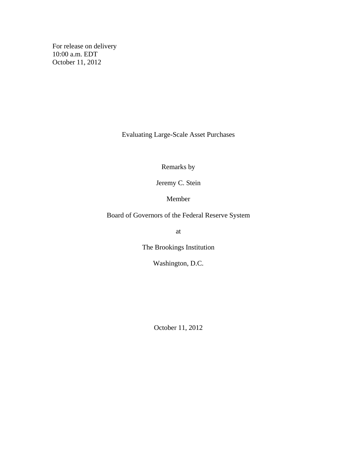For release on delivery 10:00 a.m. EDT October 11, 2012

Evaluating Large-Scale Asset Purchases

Remarks by

Jeremy C. Stein

Member

Board of Governors of the Federal Reserve System

at

The Brookings Institution

Washington, D.C.

October 11, 2012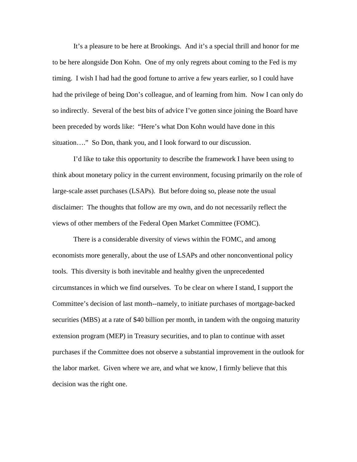It's a pleasure to be here at Brookings. And it's a special thrill and honor for me to be here alongside Don Kohn. One of my only regrets about coming to the Fed is my timing. I wish I had had the good fortune to arrive a few years earlier, so I could have had the privilege of being Don's colleague, and of learning from him. Now I can only do so indirectly. Several of the best bits of advice I've gotten since joining the Board have been preceded by words like: "Here's what Don Kohn would have done in this situation…." So Don, thank you, and I look forward to our discussion.

I'd like to take this opportunity to describe the framework I have been using to think about monetary policy in the current environment, focusing primarily on the role of large-scale asset purchases (LSAPs). But before doing so, please note the usual disclaimer: The thoughts that follow are my own, and do not necessarily reflect the views of other members of the Federal Open Market Committee (FOMC).

There is a considerable diversity of views within the FOMC, and among economists more generally, about the use of LSAPs and other nonconventional policy tools. This diversity is both inevitable and healthy given the unprecedented circumstances in which we find ourselves. To be clear on where I stand, I support the Committee's decision of last month--namely, to initiate purchases of mortgage-backed securities (MBS) at a rate of \$40 billion per month, in tandem with the ongoing maturity extension program (MEP) in Treasury securities, and to plan to continue with asset purchases if the Committee does not observe a substantial improvement in the outlook for the labor market. Given where we are, and what we know, I firmly believe that this decision was the right one.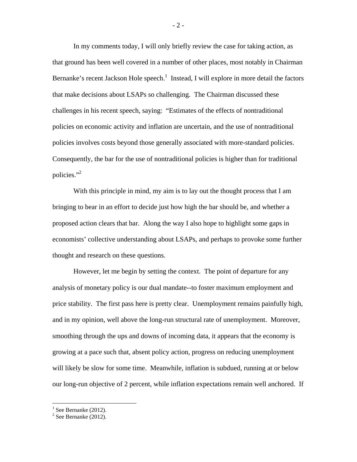In my comments today, I will only briefly review the case for taking action, as that ground has been well covered in a number of other places, most notably in Chairman Bernanke's recent Jackson Hole speech.<sup>1</sup> Instead, I will explore in more detail the factors that make decisions about LSAPs so challenging. The Chairman discussed these challenges in his recent speech, saying: "Estimates of the effects of nontraditional policies on economic activity and inflation are uncertain, and the use of nontraditional policies involves costs beyond those generally associated with more-standard policies. Consequently, the bar for the use of nontraditional policies is higher than for traditional policies."2

With this principle in mind, my aim is to lay out the thought process that I am bringing to bear in an effort to decide just how high the bar should be, and whether a proposed action clears that bar. Along the way I also hope to highlight some gaps in economists' collective understanding about LSAPs, and perhaps to provoke some further thought and research on these questions.

However, let me begin by setting the context. The point of departure for any analysis of monetary policy is our dual mandate--to foster maximum employment and price stability. The first pass here is pretty clear. Unemployment remains painfully high, and in my opinion, well above the long-run structural rate of unemployment. Moreover, smoothing through the ups and downs of incoming data, it appears that the economy is growing at a pace such that, absent policy action, progress on reducing unemployment will likely be slow for some time. Meanwhile, inflation is subdued, running at or below our long-run objective of 2 percent, while inflation expectations remain well anchored. If

 $<sup>1</sup>$  See Bernanke (2012).</sup>

 $2$  See Bernanke (2012).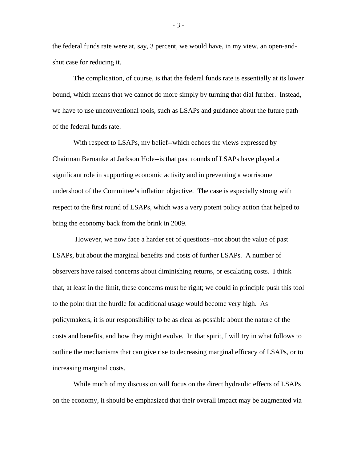the federal funds rate were at, say, 3 percent, we would have, in my view, an open-andshut case for reducing it.

The complication, of course, is that the federal funds rate is essentially at its lower bound, which means that we cannot do more simply by turning that dial further. Instead, we have to use unconventional tools, such as LSAPs and guidance about the future path of the federal funds rate.

With respect to LSAPs, my belief--which echoes the views expressed by Chairman Bernanke at Jackson Hole--is that past rounds of LSAPs have played a significant role in supporting economic activity and in preventing a worrisome undershoot of the Committee's inflation objective. The case is especially strong with respect to the first round of LSAPs, which was a very potent policy action that helped to bring the economy back from the brink in 2009.

 However, we now face a harder set of questions--not about the value of past LSAPs, but about the marginal benefits and costs of further LSAPs. A number of observers have raised concerns about diminishing returns, or escalating costs. I think that, at least in the limit, these concerns must be right; we could in principle push this tool to the point that the hurdle for additional usage would become very high. As policymakers, it is our responsibility to be as clear as possible about the nature of the costs and benefits, and how they might evolve. In that spirit, I will try in what follows to outline the mechanisms that can give rise to decreasing marginal efficacy of LSAPs, or to increasing marginal costs.

While much of my discussion will focus on the direct hydraulic effects of LSAPs on the economy, it should be emphasized that their overall impact may be augmented via

- 3 -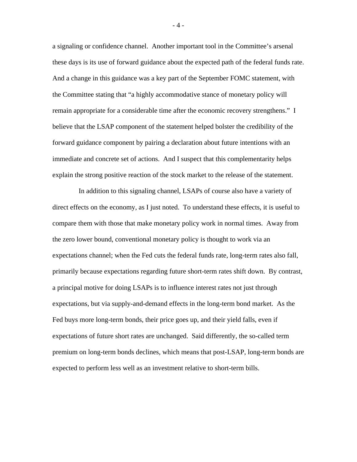a signaling or confidence channel. Another important tool in the Committee's arsenal these days is its use of forward guidance about the expected path of the federal funds rate. And a change in this guidance was a key part of the September FOMC statement, with the Committee stating that "a highly accommodative stance of monetary policy will remain appropriate for a considerable time after the economic recovery strengthens." I believe that the LSAP component of the statement helped bolster the credibility of the forward guidance component by pairing a declaration about future intentions with an immediate and concrete set of actions. And I suspect that this complementarity helps explain the strong positive reaction of the stock market to the release of the statement.

 In addition to this signaling channel, LSAPs of course also have a variety of direct effects on the economy, as I just noted. To understand these effects, it is useful to compare them with those that make monetary policy work in normal times. Away from the zero lower bound, conventional monetary policy is thought to work via an expectations channel; when the Fed cuts the federal funds rate, long-term rates also fall, primarily because expectations regarding future short-term rates shift down. By contrast, a principal motive for doing LSAPs is to influence interest rates not just through expectations, but via supply-and-demand effects in the long-term bond market. As the Fed buys more long-term bonds, their price goes up, and their yield falls, even if expectations of future short rates are unchanged. Said differently, the so-called term premium on long-term bonds declines, which means that post-LSAP, long-term bonds are expected to perform less well as an investment relative to short-term bills.

- 4 -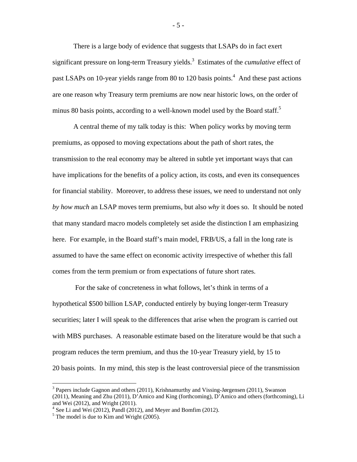There is a large body of evidence that suggests that LSAPs do in fact exert significant pressure on long-term Treasury yields.<sup>3</sup> Estimates of the *cumulative* effect of past LSAPs on 10-year yields range from 80 to 120 basis points.<sup>4</sup> And these past actions are one reason why Treasury term premiums are now near historic lows, on the order of minus 80 basis points, according to a well-known model used by the Board staff.<sup>5</sup>

A central theme of my talk today is this: When policy works by moving term premiums, as opposed to moving expectations about the path of short rates, the transmission to the real economy may be altered in subtle yet important ways that can have implications for the benefits of a policy action, its costs, and even its consequences for financial stability. Moreover, to address these issues, we need to understand not only *by how much* an LSAP moves term premiums, but also *why* it does so. It should be noted that many standard macro models completely set aside the distinction I am emphasizing here. For example, in the Board staff's main model, FRB/US, a fall in the long rate is assumed to have the same effect on economic activity irrespective of whether this fall comes from the term premium or from expectations of future short rates.

 For the sake of concreteness in what follows, let's think in terms of a hypothetical \$500 billion LSAP, conducted entirely by buying longer-term Treasury securities; later I will speak to the differences that arise when the program is carried out with MBS purchases. A reasonable estimate based on the literature would be that such a program reduces the term premium, and thus the 10-year Treasury yield, by 15 to 20 basis points. In my mind, this step is the least controversial piece of the transmission

 $3$  Papers include Gagnon and others (2011), Krishnamurthy and Vissing-Jørgensen (2011), Swanson (2011), Meaning and Zhu (2011), D'Amico and King (forthcoming), D'Amico and others (forthcoming), Li and Wei (2012), and Wright (2011).

 $4$  See Li and Wei (2012), Pandl (2012), and Meyer and Bomfim (2012).

 $<sup>5</sup>$  The model is due to Kim and Wright (2005).</sup>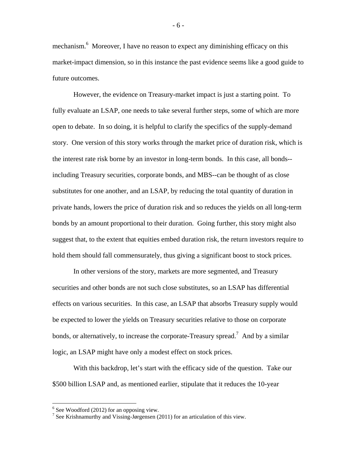mechanism.<sup>6</sup> Moreover, I have no reason to expect any diminishing efficacy on this market-impact dimension, so in this instance the past evidence seems like a good guide to future outcomes.

However, the evidence on Treasury-market impact is just a starting point. To fully evaluate an LSAP, one needs to take several further steps, some of which are more open to debate. In so doing, it is helpful to clarify the specifics of the supply-demand story. One version of this story works through the market price of duration risk, which is the interest rate risk borne by an investor in long-term bonds. In this case, all bonds- including Treasury securities, corporate bonds, and MBS--can be thought of as close substitutes for one another, and an LSAP, by reducing the total quantity of duration in private hands, lowers the price of duration risk and so reduces the yields on all long-term bonds by an amount proportional to their duration. Going further, this story might also suggest that, to the extent that equities embed duration risk, the return investors require to hold them should fall commensurately, thus giving a significant boost to stock prices.

In other versions of the story, markets are more segmented, and Treasury securities and other bonds are not such close substitutes, so an LSAP has differential effects on various securities. In this case, an LSAP that absorbs Treasury supply would be expected to lower the yields on Treasury securities relative to those on corporate bonds, or alternatively, to increase the corporate-Treasury spread.<sup>7</sup> And by a similar logic, an LSAP might have only a modest effect on stock prices.

With this backdrop, let's start with the efficacy side of the question. Take our \$500 billion LSAP and, as mentioned earlier, stipulate that it reduces the 10-year

 $\overline{a}$ 

- 6 -

 $6$  See Woodford (2012) for an opposing view.

<sup>&</sup>lt;sup>7</sup> See Krishnamurthy and Vissing-Jørgensen (2011) for an articulation of this view.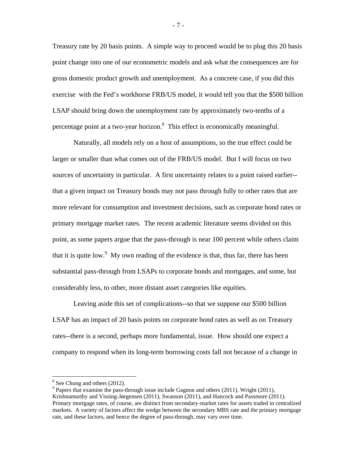Treasury rate by 20 basis points. A simple way to proceed would be to plug this 20 basis point change into one of our econometric models and ask what the consequences are for gross domestic product growth and unemployment. As a concrete case, if you did this exercise with the Fed's workhorse FRB/US model, it would tell you that the \$500 billion LSAP should bring down the unemployment rate by approximately two-tenths of a percentage point at a two-year horizon.<sup>8</sup> This effect is economically meaningful.

Naturally, all models rely on a host of assumptions, so the true effect could be larger or smaller than what comes out of the FRB/US model. But I will focus on two sources of uncertainty in particular. A first uncertainty relates to a point raised earlier- that a given impact on Treasury bonds may not pass through fully to other rates that are more relevant for consumption and investment decisions, such as corporate bond rates or primary mortgage market rates. The recent academic literature seems divided on this point, as some papers argue that the pass-through is near 100 percent while others claim that it is quite low.<sup>9</sup> My own reading of the evidence is that, thus far, there has been substantial pass-through from LSAPs to corporate bonds and mortgages, and some, but considerably less, to other, more distant asset categories like equities.

Leaving aside this set of complications--so that we suppose our \$500 billion LSAP has an impact of 20 basis points on corporate bond rates as well as on Treasury rates--there is a second, perhaps more fundamental, issue. How should one expect a company to respond when its long-term borrowing costs fall not because of a change in

 $\overline{a}$ 

- 7 -

<sup>&</sup>lt;sup>8</sup> See Chung and others (2012).

 $9$  Papers that examine the pass-through issue include Gagnon and others (2011), Wright (2011), Krishnamurthy and Vissing-Jørgensen (2011), Swanson (2011), and Hancock and Passmore (2011). Primary mortgage rates, of course, are distinct from secondary-market rates for assets traded in centralized markets. A variety of factors affect the wedge between the secondary MBS rate and the primary mortgage rate, and these factors, and hence the degree of pass-through, may vary over time.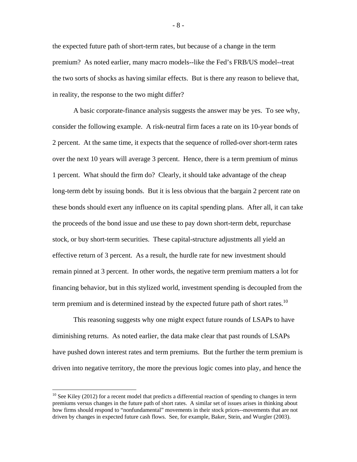the expected future path of short-term rates, but because of a change in the term premium? As noted earlier, many macro models--like the Fed's FRB/US model--treat the two sorts of shocks as having similar effects. But is there any reason to believe that, in reality, the response to the two might differ?

A basic corporate-finance analysis suggests the answer may be yes. To see why, consider the following example. A risk-neutral firm faces a rate on its 10-year bonds of 2 percent. At the same time, it expects that the sequence of rolled-over short-term rates over the next 10 years will average 3 percent. Hence, there is a term premium of minus 1 percent. What should the firm do? Clearly, it should take advantage of the cheap long-term debt by issuing bonds. But it is less obvious that the bargain 2 percent rate on these bonds should exert any influence on its capital spending plans. After all, it can take the proceeds of the bond issue and use these to pay down short-term debt, repurchase stock, or buy short-term securities. These capital-structure adjustments all yield an effective return of 3 percent. As a result, the hurdle rate for new investment should remain pinned at 3 percent. In other words, the negative term premium matters a lot for financing behavior, but in this stylized world, investment spending is decoupled from the term premium and is determined instead by the expected future path of short rates.<sup>10</sup>

This reasoning suggests why one might expect future rounds of LSAPs to have diminishing returns. As noted earlier, the data make clear that past rounds of LSAPs have pushed down interest rates and term premiums. But the further the term premium is driven into negative territory, the more the previous logic comes into play, and hence the

 $10$  See Kiley (2012) for a recent model that predicts a differential reaction of spending to changes in term premiums versus changes in the future path of short rates. A similar set of issues arises in thinking about how firms should respond to "nonfundamental" movements in their stock prices--movements that are not driven by changes in expected future cash flows. See, for example, Baker, Stein, and Wurgler (2003).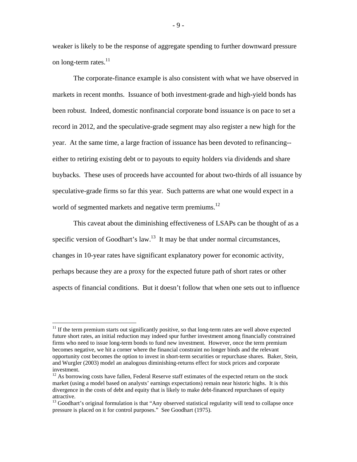weaker is likely to be the response of aggregate spending to further downward pressure on long-term rates.<sup>11</sup>

The corporate-finance example is also consistent with what we have observed in markets in recent months. Issuance of both investment-grade and high-yield bonds has been robust. Indeed, domestic nonfinancial corporate bond issuance is on pace to set a record in 2012, and the speculative-grade segment may also register a new high for the year. At the same time, a large fraction of issuance has been devoted to refinancing- either to retiring existing debt or to payouts to equity holders via dividends and share buybacks. These uses of proceeds have accounted for about two-thirds of all issuance by speculative-grade firms so far this year. Such patterns are what one would expect in a world of segmented markets and negative term premiums.<sup>12</sup>

This caveat about the diminishing effectiveness of LSAPs can be thought of as a specific version of Goodhart's law.<sup>13</sup> It may be that under normal circumstances, changes in 10-year rates have significant explanatory power for economic activity, perhaps because they are a proxy for the expected future path of short rates or other aspects of financial conditions. But it doesn't follow that when one sets out to influence

 $\overline{a}$ 

- 9 -

<sup>&</sup>lt;sup>11</sup> If the term premium starts out significantly positive, so that long-term rates are well above expected future short rates, an initial reduction may indeed spur further investment among financially constrained firms who need to issue long-term bonds to fund new investment. However, once the term premium becomes negative, we hit a corner where the financial constraint no longer binds and the relevant opportunity cost becomes the option to invest in short-term securities or repurchase shares. Baker, Stein, and Wurgler (2003) model an analogous diminishing-returns effect for stock prices and corporate investment.

 $12$  As borrowing costs have fallen, Federal Reserve staff estimates of the expected return on the stock market (using a model based on analysts' earnings expectations) remain near historic highs. It is this divergence in the costs of debt and equity that is likely to make debt-financed repurchases of equity attractive.

<sup>&</sup>lt;sup>13</sup> Goodhart's original formulation is that "Any observed statistical regularity will tend to collapse once pressure is placed on it for control purposes." See Goodhart (1975).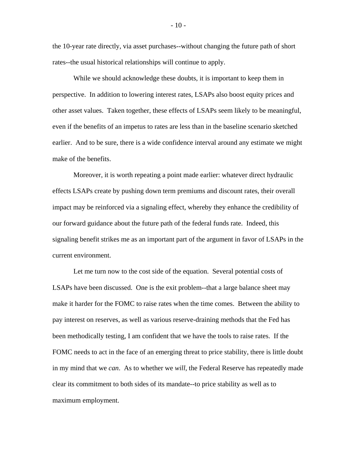the 10-year rate directly, via asset purchases--without changing the future path of short rates--the usual historical relationships will continue to apply.

While we should acknowledge these doubts, it is important to keep them in perspective. In addition to lowering interest rates, LSAPs also boost equity prices and other asset values. Taken together, these effects of LSAPs seem likely to be meaningful, even if the benefits of an impetus to rates are less than in the baseline scenario sketched earlier. And to be sure, there is a wide confidence interval around any estimate we might make of the benefits.

Moreover, it is worth repeating a point made earlier: whatever direct hydraulic effects LSAPs create by pushing down term premiums and discount rates, their overall impact may be reinforced via a signaling effect, whereby they enhance the credibility of our forward guidance about the future path of the federal funds rate. Indeed, this signaling benefit strikes me as an important part of the argument in favor of LSAPs in the current environment.

Let me turn now to the cost side of the equation. Several potential costs of LSAPs have been discussed. One is the exit problem--that a large balance sheet may make it harder for the FOMC to raise rates when the time comes. Between the ability to pay interest on reserves, as well as various reserve-draining methods that the Fed has been methodically testing, I am confident that we have the tools to raise rates. If the FOMC needs to act in the face of an emerging threat to price stability, there is little doubt in my mind that we *can*. As to whether we *will*, the Federal Reserve has repeatedly made clear its commitment to both sides of its mandate--to price stability as well as to maximum employment.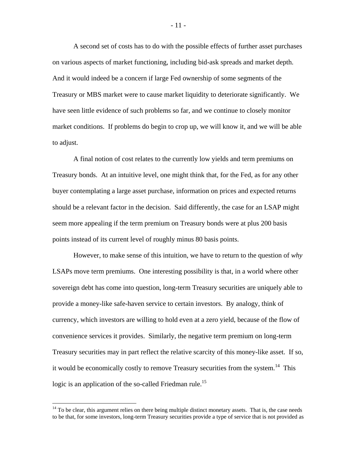A second set of costs has to do with the possible effects of further asset purchases on various aspects of market functioning, including bid-ask spreads and market depth. And it would indeed be a concern if large Fed ownership of some segments of the Treasury or MBS market were to cause market liquidity to deteriorate significantly. We have seen little evidence of such problems so far, and we continue to closely monitor market conditions. If problems do begin to crop up, we will know it, and we will be able to adjust.

A final notion of cost relates to the currently low yields and term premiums on Treasury bonds. At an intuitive level, one might think that, for the Fed, as for any other buyer contemplating a large asset purchase, information on prices and expected returns should be a relevant factor in the decision. Said differently, the case for an LSAP might seem more appealing if the term premium on Treasury bonds were at plus 200 basis points instead of its current level of roughly minus 80 basis points.

However, to make sense of this intuition, we have to return to the question of *why* LSAPs move term premiums. One interesting possibility is that, in a world where other sovereign debt has come into question, long-term Treasury securities are uniquely able to provide a money-like safe-haven service to certain investors. By analogy, think of currency, which investors are willing to hold even at a zero yield, because of the flow of convenience services it provides. Similarly, the negative term premium on long-term Treasury securities may in part reflect the relative scarcity of this money-like asset. If so, it would be economically costly to remove Treasury securities from the system.<sup>14</sup> This logic is an application of the so-called Friedman rule.<sup>15</sup>

 $14$  To be clear, this argument relies on there being multiple distinct monetary assets. That is, the case needs to be that, for some investors, long-term Treasury securities provide a type of service that is not provided as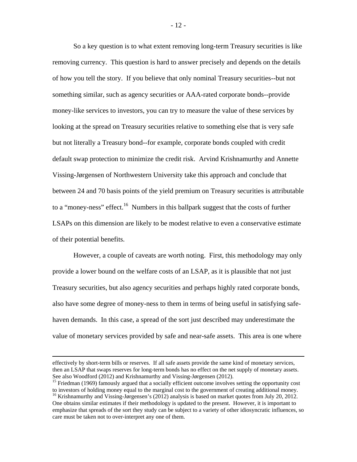So a key question is to what extent removing long-term Treasury securities is like removing currency. This question is hard to answer precisely and depends on the details of how you tell the story. If you believe that only nominal Treasury securities--but not something similar, such as agency securities or AAA-rated corporate bonds--provide money-like services to investors, you can try to measure the value of these services by looking at the spread on Treasury securities relative to something else that is very safe but not literally a Treasury bond--for example, corporate bonds coupled with credit default swap protection to minimize the credit risk. Arvind Krishnamurthy and Annette Vissing-Jørgensen of Northwestern University take this approach and conclude that between 24 and 70 basis points of the yield premium on Treasury securities is attributable to a "money-ness" effect.<sup>16</sup> Numbers in this ballpark suggest that the costs of further LSAPs on this dimension are likely to be modest relative to even a conservative estimate of their potential benefits.

However, a couple of caveats are worth noting. First, this methodology may only provide a lower bound on the welfare costs of an LSAP, as it is plausible that not just Treasury securities, but also agency securities and perhaps highly rated corporate bonds, also have some degree of money-ness to them in terms of being useful in satisfying safehaven demands. In this case, a spread of the sort just described may underestimate the value of monetary services provided by safe and near-safe assets. This area is one where

effectively by short-term bills or reserves. If all safe assets provide the same kind of monetary services, then an LSAP that swaps reserves for long-term bonds has no effect on the net supply of monetary assets. See also Woodford (2012) and Krishnamurthy and Vissing-Jørgensen (2012).

<sup>&</sup>lt;sup>15</sup> Friedman (1969) famously argued that a socially efficient outcome involves setting the opportunity cost to investors of holding money equal to the marginal cost to the government of creating additional money.

<sup>&</sup>lt;sup>16</sup> Krishnamurthy and Vissing-Jørgensen's (2012) analysis is based on market quotes from July 20, 2012. One obtains similar estimates if their methodology is updated to the present. However, it is important to emphasize that spreads of the sort they study can be subject to a variety of other idiosyncratic influences, so care must be taken not to over-interpret any one of them.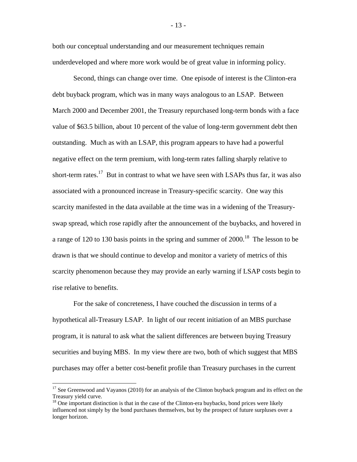both our conceptual understanding and our measurement techniques remain underdeveloped and where more work would be of great value in informing policy.

Second, things can change over time. One episode of interest is the Clinton-era debt buyback program, which was in many ways analogous to an LSAP. Between March 2000 and December 2001, the Treasury repurchased long-term bonds with a face value of \$63.5 billion, about 10 percent of the value of long-term government debt then outstanding. Much as with an LSAP, this program appears to have had a powerful negative effect on the term premium, with long-term rates falling sharply relative to short-term rates.<sup>17</sup> But in contrast to what we have seen with LSAPs thus far, it was also associated with a pronounced increase in Treasury-specific scarcity. One way this scarcity manifested in the data available at the time was in a widening of the Treasuryswap spread, which rose rapidly after the announcement of the buybacks, and hovered in a range of 120 to 130 basis points in the spring and summer of  $2000$ .<sup>18</sup> The lesson to be drawn is that we should continue to develop and monitor a variety of metrics of this scarcity phenomenon because they may provide an early warning if LSAP costs begin to rise relative to benefits.

For the sake of concreteness, I have couched the discussion in terms of a hypothetical all-Treasury LSAP. In light of our recent initiation of an MBS purchase program, it is natural to ask what the salient differences are between buying Treasury securities and buying MBS. In my view there are two, both of which suggest that MBS purchases may offer a better cost-benefit profile than Treasury purchases in the current

 $\overline{a}$ 

- 13 -

<sup>&</sup>lt;sup>17</sup> See Greenwood and Vayanos (2010) for an analysis of the Clinton buyback program and its effect on the Treasury yield curve.

<sup>&</sup>lt;sup>18</sup> One important distinction is that in the case of the Clinton-era buybacks, bond prices were likely influenced not simply by the bond purchases themselves, but by the prospect of future surpluses over a longer horizon.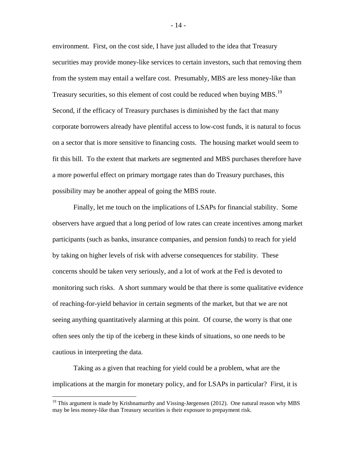environment. First, on the cost side, I have just alluded to the idea that Treasury securities may provide money-like services to certain investors, such that removing them from the system may entail a welfare cost. Presumably, MBS are less money-like than Treasury securities, so this element of cost could be reduced when buying MBS.<sup>19</sup> Second, if the efficacy of Treasury purchases is diminished by the fact that many corporate borrowers already have plentiful access to low-cost funds, it is natural to focus on a sector that is more sensitive to financing costs. The housing market would seem to fit this bill. To the extent that markets are segmented and MBS purchases therefore have a more powerful effect on primary mortgage rates than do Treasury purchases, this possibility may be another appeal of going the MBS route.

Finally, let me touch on the implications of LSAPs for financial stability. Some observers have argued that a long period of low rates can create incentives among market participants (such as banks, insurance companies, and pension funds) to reach for yield by taking on higher levels of risk with adverse consequences for stability. These concerns should be taken very seriously, and a lot of work at the Fed is devoted to monitoring such risks. A short summary would be that there is some qualitative evidence of reaching-for-yield behavior in certain segments of the market, but that we are not seeing anything quantitatively alarming at this point. Of course, the worry is that one often sees only the tip of the iceberg in these kinds of situations, so one needs to be cautious in interpreting the data.

Taking as a given that reaching for yield could be a problem, what are the implications at the margin for monetary policy, and for LSAPs in particular? First, it is

 $\overline{a}$ 

- 14 -

<sup>&</sup>lt;sup>19</sup> This argument is made by Krishnamurthy and Vissing-Jørgensen (2012). One natural reason why MBS may be less money-like than Treasury securities is their exposure to prepayment risk.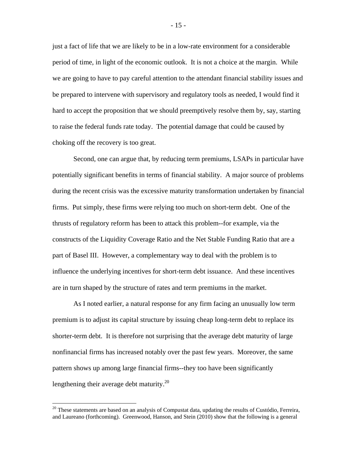just a fact of life that we are likely to be in a low-rate environment for a considerable period of time, in light of the economic outlook. It is not a choice at the margin. While we are going to have to pay careful attention to the attendant financial stability issues and be prepared to intervene with supervisory and regulatory tools as needed, I would find it hard to accept the proposition that we should preemptively resolve them by, say, starting to raise the federal funds rate today. The potential damage that could be caused by choking off the recovery is too great.

Second, one can argue that, by reducing term premiums, LSAPs in particular have potentially significant benefits in terms of financial stability. A major source of problems during the recent crisis was the excessive maturity transformation undertaken by financial firms. Put simply, these firms were relying too much on short-term debt. One of the thrusts of regulatory reform has been to attack this problem--for example, via the constructs of the Liquidity Coverage Ratio and the Net Stable Funding Ratio that are a part of Basel III. However, a complementary way to deal with the problem is to influence the underlying incentives for short-term debt issuance. And these incentives are in turn shaped by the structure of rates and term premiums in the market.

As I noted earlier, a natural response for any firm facing an unusually low term premium is to adjust its capital structure by issuing cheap long-term debt to replace its shorter-term debt. It is therefore not surprising that the average debt maturity of large nonfinancial firms has increased notably over the past few years. Moreover, the same pattern shows up among large financial firms--they too have been significantly lengthening their average debt maturity. $^{20}$ 

 $\overline{a}$ 

- 15 -

<sup>&</sup>lt;sup>20</sup> These statements are based on an analysis of Compustat data, updating the results of Custódio, Ferreira, and Laureano (forthcoming). Greenwood, Hanson, and Stein (2010) show that the following is a general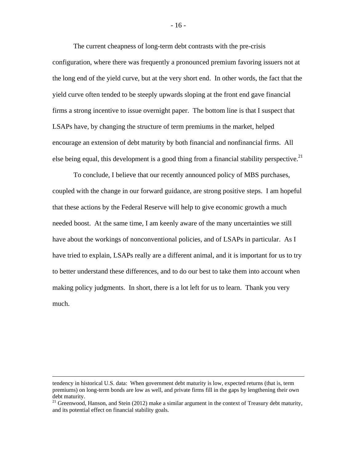The current cheapness of long-term debt contrasts with the pre-crisis configuration, where there was frequently a pronounced premium favoring issuers not at the long end of the yield curve, but at the very short end. In other words, the fact that the yield curve often tended to be steeply upwards sloping at the front end gave financial firms a strong incentive to issue overnight paper. The bottom line is that I suspect that LSAPs have, by changing the structure of term premiums in the market, helped encourage an extension of debt maturity by both financial and nonfinancial firms. All else being equal, this development is a good thing from a financial stability perspective.<sup>21</sup>

To conclude, I believe that our recently announced policy of MBS purchases, coupled with the change in our forward guidance, are strong positive steps. I am hopeful that these actions by the Federal Reserve will help to give economic growth a much needed boost. At the same time, I am keenly aware of the many uncertainties we still have about the workings of nonconventional policies, and of LSAPs in particular. As I have tried to explain, LSAPs really are a different animal, and it is important for us to try to better understand these differences, and to do our best to take them into account when making policy judgments. In short, there is a lot left for us to learn. Thank you very much.

- 16 -

tendency in historical U.S. data: When government debt maturity is low, expected returns (that is, term premiums) on long-term bonds are low as well, and private firms fill in the gaps by lengthening their own debt maturity.

<sup>&</sup>lt;sup>21</sup> Greenwood, Hanson, and Stein (2012) make a similar argument in the context of Treasury debt maturity, and its potential effect on financial stability goals.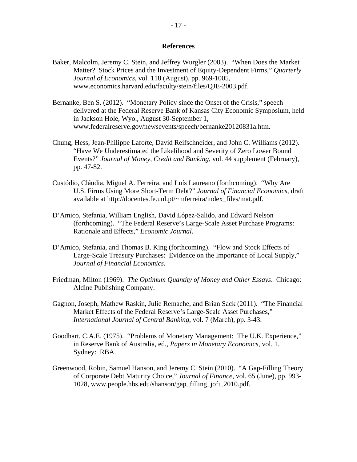## **References**

- Baker, Malcolm, Jeremy C. Stein, and Jeffrey Wurgler (2003). "When Does the Market Matter? Stock Prices and the Investment of Equity-Dependent Firms," *Quarterly Journal of Economics*, vol. 118 (August), pp. 969-1005, www.economics.harvard.edu/faculty/stein/files/QJE-2003.pdf.
- Bernanke, Ben S. (2012). "Monetary Policy since the Onset of the Crisis," speech delivered at the Federal Reserve Bank of Kansas City Economic Symposium, held in Jackson Hole, Wyo., August 30-September 1, www.federalreserve.gov/newsevents/speech/bernanke20120831a.htm.
- Chung, Hess, Jean-Philippe Laforte, David Reifschneider, and John C. Williams (2012). "Have We Underestimated the Likelihood and Severity of Zero Lower Bound Events?" *Journal of Money, Credit and Banking*, vol. 44 supplement (February), pp. 47-82.
- Custódio, Cláudia, Miguel A. Ferreira, and Luís Laureano (forthcoming). "Why Are U.S. Firms Using More Short-Term Debt?" *Journal of Financial Economics*, draft available at http://docentes.fe.unl.pt/~mferreira/index\_files/mat.pdf.
- D'Amico, Stefania, William English, David López-Salido, and Edward Nelson (forthcoming). "The Federal Reserve's Large-Scale Asset Purchase Programs: Rationale and Effects," *Economic Journal*.
- D'Amico, Stefania, and Thomas B. King (forthcoming). "Flow and Stock Effects of Large-Scale Treasury Purchases: Evidence on the Importance of Local Supply," *Journal of Financial Economics*.
- Friedman, Milton (1969). *The Optimum Quantity of Money and Other Essays*. Chicago: Aldine Publishing Company.
- Gagnon, Joseph, Mathew Raskin, Julie Remache, and Brian Sack (2011). "The Financial Market Effects of the Federal Reserve's Large-Scale Asset Purchases," *International Journal of Central Banking*, vol. 7 (March), pp. 3-43.
- Goodhart, C.A.E. (1975). "Problems of Monetary Management: The U.K. Experience," in Reserve Bank of Australia, ed., *Papers in Monetary Economics*, vol. 1. Sydney: RBA.
- Greenwood, Robin, Samuel Hanson, and Jeremy C. Stein (2010). "A Gap-Filling Theory of Corporate Debt Maturity Choice," *Journal of Finance*, vol. 65 (June), pp. 993- 1028, www.people.hbs.edu/shanson/gap\_filling\_jofi\_2010.pdf.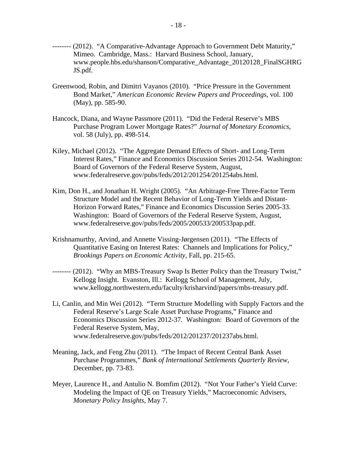- -------- (2012). "A Comparative-Advantage Approach to Government Debt Maturity," Mimeo. Cambridge, Mass.: Harvard Business School, January, www.people.hbs.edu/shanson/Comparative\_Advantage\_20120128\_FinalSGHRG JS.pdf.
- Greenwood, Robin, and Dimitri Vayanos (2010). "Price Pressure in the Government Bond Market," *American Economic Review Papers and Proceedings*, vol. 100 (May), pp. 585-90.
- Hancock, Diana, and Wayne Passmore (2011). "Did the Federal Reserve's MBS Purchase Program Lower Mortgage Rates?" *Journal of Monetary Economics*, vol. 58 (July), pp. 498-514.
- Kiley, Michael (2012). "The Aggregate Demand Effects of Short- and Long-Term Interest Rates," Finance and Economics Discussion Series 2012-54. Washington: Board of Governors of the Federal Reserve System, August, www.federalreserve.gov/pubs/feds/2012/201254/201254abs.html.
- Kim, Don H., and Jonathan H. Wright (2005). "An Arbitrage-Free Three-Factor Term Structure Model and the Recent Behavior of Long-Term Yields and Distant-Horizon Forward Rates," Finance and Economics Discussion Series 2005-33. Washington: Board of Governors of the Federal Reserve System, August, www.federalreserve.gov/pubs/feds/2005/200533/200533pap.pdf.
- Krishnamurthy, Arvind, and Annette Vissing-Jørgensen (2011). "The Effects of Quantitative Easing on Interest Rates: Channels and Implications for Policy," *Brookings Papers on Economic Activity*, Fall, pp. 215-65.
- -------- (2012). "Why an MBS-Treasury Swap Is Better Policy than the Treasury Twist," Kellogg Insight. Evanston, Ill.: Kellogg School of Management, July, www.kellogg.northwestern.edu/faculty/krisharvind/papers/mbs-treasury.pdf.
- Li, Canlin, and Min Wei (2012). "Term Structure Modelling with Supply Factors and the Federal Reserve's Large Scale Asset Purchase Programs," Finance and Economics Discussion Series 2012-37. Washington: Board of Governors of the Federal Reserve System, May, www.federalreserve.gov/pubs/feds/2012/201237/201237abs.html.
- Meaning, Jack, and Feng Zhu (2011). "The Impact of Recent Central Bank Asset Purchase Programmes," *Bank of International Settlements Quarterly Review,* December, pp. 73-83.
- Meyer, Laurence H., and Antulio N. Bomfim (2012). "Not Your Father's Yield Curve: Modeling the Impact of QE on Treasury Yields," Macroeconomic Advisers, *Monetary Policy Insights*, May 7.